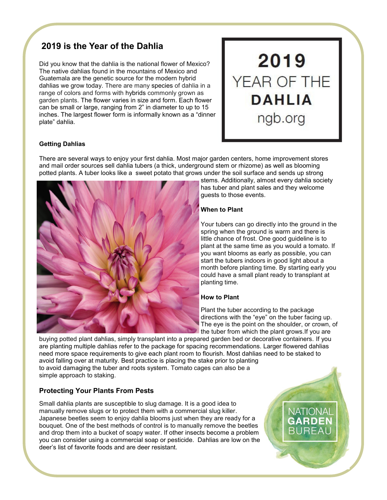# **2019 is the Year of the Dahlia**

Did you know that the dahlia is the national flower of Mexico? The native dahlias found in the mountains of Mexico and Guatemala are the genetic source for the modern hybrid dahlias we grow today. There are many species of dahlia in a range of colors and forms with hybrids commonly grown as garden plants. The flower varies in size and form. Each flower can be small or large, ranging from 2" in diameter to up to 15 inches. The largest flower form is informally known as a "dinner plate" dahlia.



## **Getting Dahlias**

There are several ways to enjoy your first dahlia. Most major garden centers, home improvement stores and [mail order sources](https://ngb.org/shop-our-members/) sell dahlia tubers (a thick, underground stem or rhizome) as well as blooming potted plants. A tuber looks like a sweet potato that grows under the soil surface and sends up strong



stems. Additionally, almost every [dahlia society](https://dahlia.org/societies/societies-us-canada/)  has tuber and plant sales and they welcome guests to those events.

## **When to Plant**

Your tubers can go directly into the ground in the spring when the ground is warm and there is little chance of frost. One good guideline is to plant at the same time as you would a tomato. If you want blooms as early as possible, you can start the tubers indoors in good light about a month before planting time. By starting early you could have a small plant ready to transplant at planting time.

#### **How to Plant**

Plant the tuber according to the package directions with the "eye" on the tuber facing up. The eye is the point on the shoulder, or crown, of the tuber from which the plant grows.If you are

> **NATIONAI GARDEN** RURFAL

buying potted plant dahlias, simply transplant into a prepared garden bed or decorative containers. If you are planting multiple dahlias refer to the package for spacing recommendations. Larger flowered dahlias need more space requirements to give each plant room to flourish. Most dahlias need to be staked to avoid falling over at maturity. Best practice is placing the stake prior to planting to avoid damaging the tuber and roots system. Tomato cages can also be a simple approach to staking.

# **Protecting Your Plants From Pests**

Small dahlia plants are susceptible to slug damage. It is a good idea to manually remove slugs or to protect them with a commercial slug killer. Japanese beetles seem to enjoy dahlia blooms just when they are ready for a bouquet. One of the best methods of control is to manually remove the beetles and drop them into a bucket of soapy water. If other insects become a problem you can consider using a commercial soap or pesticide. Dahlias are low on the deer's list of favorite foods and are deer resistant.